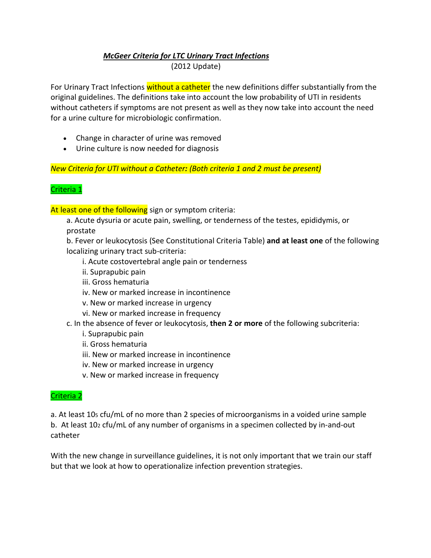## *McGeer Criteria for LTC Urinary Tract Infections*

(2012 Update)

For Urinary Tract Infections without a catheter the new definitions differ substantially from the original guidelines. The definitions take into account the low probability of UTI in residents without catheters if symptoms are not present as well as they now take into account the need for a urine culture for microbiologic confirmation.

- Change in character of urine was removed
- Urine culture is now needed for diagnosis

*New Criteria for UTI without a Catheter: (Both criteria 1 and 2 must be present)*

## Criteria 1

At least one of the following sign or symptom criteria:

a. Acute dysuria or acute pain, swelling, or tenderness of the testes, epididymis, or prostate

b. Fever or leukocytosis (See Constitutional Criteria Table) **and at least one** of the following localizing urinary tract sub-criteria:

- i. Acute costovertebral angle pain or tenderness
- ii. Suprapubic pain
- iii. Gross hematuria
- iv. New or marked increase in incontinence
- v. New or marked increase in urgency
- vi. New or marked increase in frequency

## c. In the absence of fever or leukocytosis, **then 2 or more** of the following subcriteria:

- i. Suprapubic pain
- ii. Gross hematuria
- iii. New or marked increase in incontinence
- iv. New or marked increase in urgency
- v. New or marked increase in frequency

## Criteria 2

a. At least 105 cfu/mL of no more than 2 species of microorganisms in a voided urine sample b. At least 102 cfu/mL of any number of organisms in a specimen collected by in-and-out catheter

With the new change in surveillance guidelines, it is not only important that we train our staff but that we look at how to operationalize infection prevention strategies.